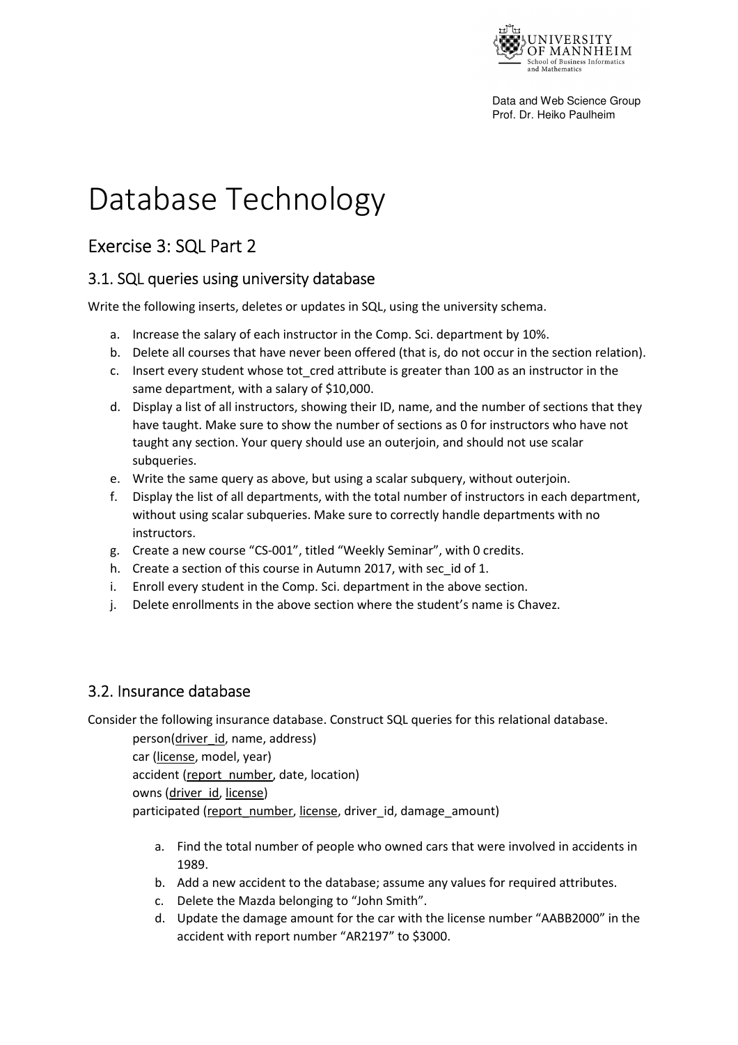

Data and Web Science Group Prof. Dr. Heiko Paulheim

# Database Technology

## Exercise 3: SQL Part 2

#### 3.1. SQL queries using university database

Write the following inserts, deletes or updates in SQL, using the university schema.

- a. Increase the salary of each instructor in the Comp. Sci. department by 10%.
- b. Delete all courses that have never been offered (that is, do not occur in the section relation).
- c. Insert every student whose tot cred attribute is greater than 100 as an instructor in the same department, with a salary of \$10,000.
- d. Display a list of all instructors, showing their ID, name, and the number of sections that they have taught. Make sure to show the number of sections as 0 for instructors who have not taught any section. Your query should use an outerjoin, and should not use scalar subqueries.
- e. Write the same query as above, but using a scalar subquery, without outerjoin.
- f. Display the list of all departments, with the total number of instructors in each department, without using scalar subqueries. Make sure to correctly handle departments with no instructors.
- g. Create a new course "CS-001", titled "Weekly Seminar", with 0 credits.
- h. Create a section of this course in Autumn 2017, with sec\_id of 1.
- i. Enroll every student in the Comp. Sci. department in the above section.
- j. Delete enrollments in the above section where the student's name is Chavez.

### 3.2. Insurance database

Consider the following insurance database. Construct SQL queries for this relational database.

person(driver\_id, name, address) car (license, model, year) accident (report\_number, date, location) owns (driver\_id, license) participated (report\_number, license, driver\_id, damage\_amount)

- a. Find the total number of people who owned cars that were involved in accidents in 1989.
- b. Add a new accident to the database; assume any values for required attributes.
- c. Delete the Mazda belonging to "John Smith".
- d. Update the damage amount for the car with the license number "AABB2000" in the accident with report number "AR2197" to \$3000.